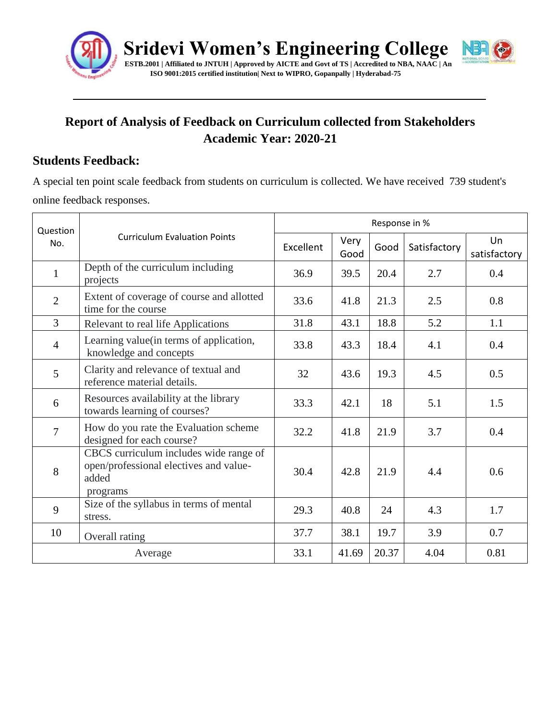

# **Report of Analysis of Feedback on Curriculum collected from Stakeholders Academic Year: 2020-21**

#### **Students Feedback:**

A special ten point scale feedback from students on curriculum is collected. We have received 739 student's online feedback responses.

| Question<br>No. | <b>Curriculum Evaluation Points</b>                                                                   | Response in % |              |       |              |                    |
|-----------------|-------------------------------------------------------------------------------------------------------|---------------|--------------|-------|--------------|--------------------|
|                 |                                                                                                       | Excellent     | Very<br>Good | Good  | Satisfactory | Un<br>satisfactory |
| $\mathbf{1}$    | Depth of the curriculum including<br>projects                                                         | 36.9          | 39.5         | 20.4  | 2.7          | 0.4                |
| $\overline{2}$  | Extent of coverage of course and allotted<br>time for the course                                      | 33.6          | 41.8         | 21.3  | 2.5          | 0.8                |
| $\overline{3}$  | Relevant to real life Applications                                                                    | 31.8          | 43.1         | 18.8  | 5.2          | 1.1                |
| $\overline{4}$  | Learning value(in terms of application,<br>knowledge and concepts                                     | 33.8          | 43.3         | 18.4  | 4.1          | 0.4                |
| 5               | Clarity and relevance of textual and<br>reference material details.                                   | 32            | 43.6         | 19.3  | 4.5          | 0.5                |
| 6               | Resources availability at the library<br>towards learning of courses?                                 | 33.3          | 42.1         | 18    | 5.1          | 1.5                |
| $\overline{7}$  | How do you rate the Evaluation scheme<br>designed for each course?                                    | 32.2          | 41.8         | 21.9  | 3.7          | 0.4                |
| 8               | CBCS curriculum includes wide range of<br>open/professional electives and value-<br>added<br>programs | 30.4          | 42.8         | 21.9  | 4.4          | 0.6                |
| 9               | Size of the syllabus in terms of mental<br>stress.                                                    | 29.3          | 40.8         | 24    | 4.3          | 1.7                |
| 10              | Overall rating                                                                                        | 37.7          | 38.1         | 19.7  | 3.9          | 0.7                |
| Average         |                                                                                                       | 33.1          | 41.69        | 20.37 | 4.04         | 0.81               |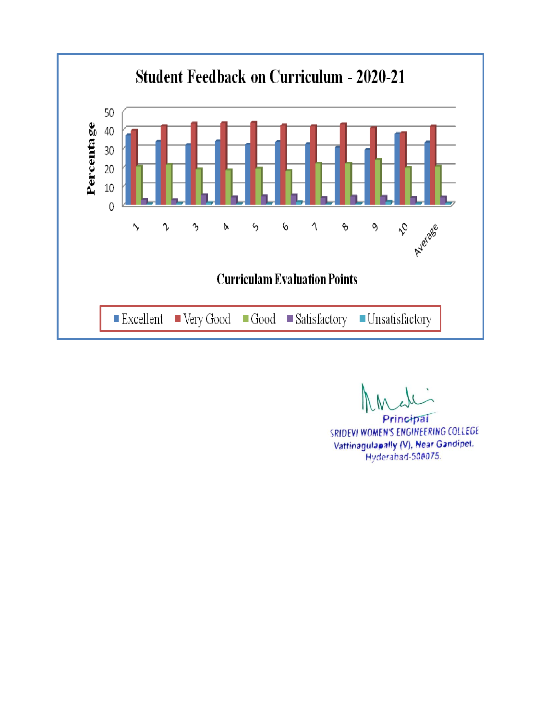

Principal SRIDEVI WOMEN'S ENGINEERING COLLEGE Vattinagulapally (V), Near Gandipet. Hyderabad-508075.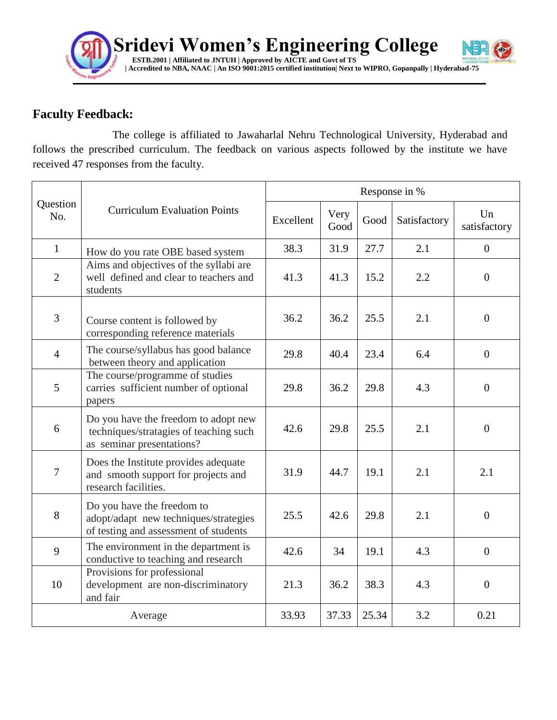

### **Faculty Feedback:**

The college is affiliated to Jawaharlal Nehru Technological University, Hyderabad and follows the prescribed curriculum. The feedback on various aspects followed by the institute we have received 47 responses from the faculty.

| Question<br>No. | <b>Curriculum Evaluation Points</b>                                                                          | Response in % |              |       |              |                    |  |
|-----------------|--------------------------------------------------------------------------------------------------------------|---------------|--------------|-------|--------------|--------------------|--|
|                 |                                                                                                              | Excellent     | Very<br>Good | Good  | Satisfactory | Un<br>satisfactory |  |
| $\mathbf{1}$    | How do you rate OBE based system                                                                             | 38.3          | 31.9         | 27.7  | 2.1          | $\overline{0}$     |  |
| 2               | Aims and objectives of the syllabi are<br>well defined and clear to teachers and<br>students                 | 41.3          | 41.3         | 15.2  | 2.2          | $\mathbf{0}$       |  |
| 3               | Course content is followed by<br>corresponding reference materials                                           | 36.2          | 36.2         | 25.5  | 2.1          | $\theta$           |  |
| $\overline{4}$  | The course/syllabus has good balance<br>between theory and application                                       | 29.8          | 40.4         | 23.4  | 6.4          | $\overline{0}$     |  |
| 5               | The course/programme of studies<br>carries sufficient number of optional<br>papers                           | 29.8          | 36.2         | 29.8  | 4.3          | $\overline{0}$     |  |
| 6               | Do you have the freedom to adopt new<br>techniques/stratagies of teaching such<br>as seminar presentations?  | 42.6          | 29.8         | 25.5  | 2.1          | $\overline{0}$     |  |
| $\overline{7}$  | Does the Institute provides adequate<br>and smooth support for projects and<br>research facilities.          | 31.9          | 44.7         | 19.1  | 2.1          | 2.1                |  |
| 8               | Do you have the freedom to<br>adopt/adapt_new techniques/strategies<br>of testing and assessment of students | 25.5          | 42.6         | 29.8  | 2.1          | $\overline{0}$     |  |
| 9               | The environment in the department is<br>conductive to teaching and research                                  | 42.6          | 34           | 19.1  | 4.3          | $\overline{0}$     |  |
| 10              | Provisions for professional<br>development are non-discriminatory<br>and fair                                | 21.3          | 36.2         | 38.3  | 4.3          | $\mathbf{0}$       |  |
| Average         |                                                                                                              | 33.93         | 37.33        | 25.34 | 3.2          | 0.21               |  |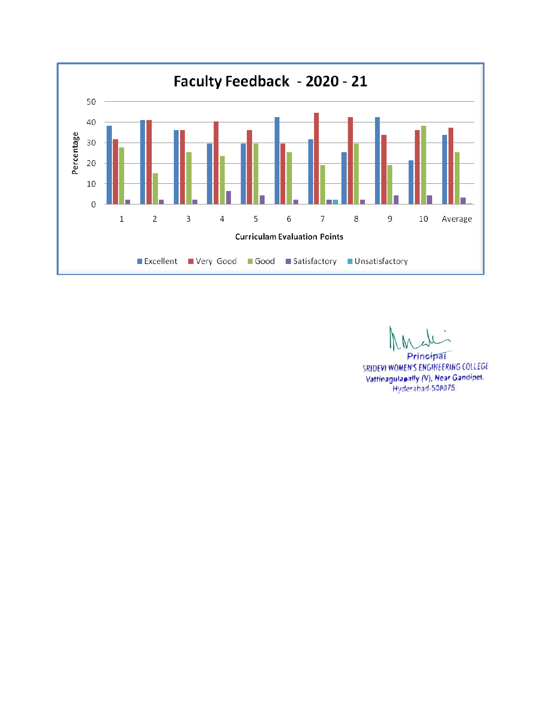

Principal

SRIDEVI WOMEN'S ENGINEERING COLLEGE Vattinagulapally (V), Near Gandipet. Hyderabad-508075.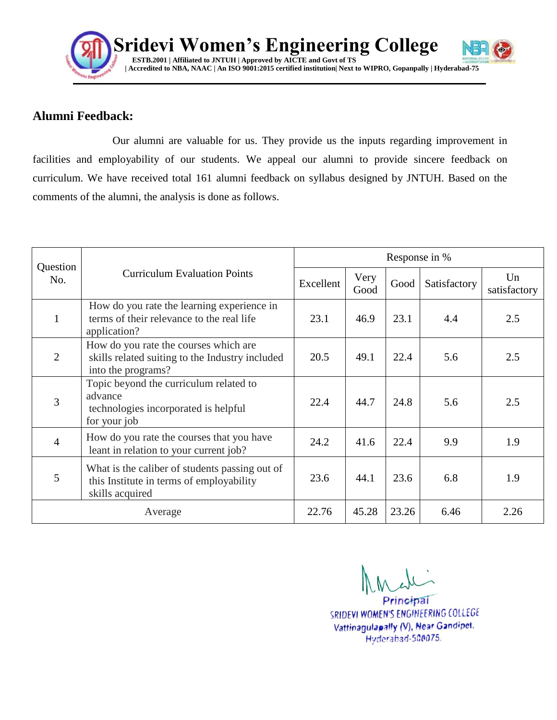

#### **Alumni Feedback:**

Our alumni are valuable for us. They provide us the inputs regarding improvement in facilities and employability of our students. We appeal our alumni to provide sincere feedback on curriculum. We have received total 161 alumni feedback on syllabus designed by JNTUH. Based on the comments of the alumni, the analysis is done as follows.

| Question<br>No. | <b>Curriculum Evaluation Points</b>                                                                            | Response in % |              |       |              |                    |  |
|-----------------|----------------------------------------------------------------------------------------------------------------|---------------|--------------|-------|--------------|--------------------|--|
|                 |                                                                                                                | Excellent     | Very<br>Good | Good  | Satisfactory | Un<br>satisfactory |  |
| $\mathbf{1}$    | How do you rate the learning experience in<br>terms of their relevance to the real life<br>application?        | 23.1          | 46.9         | 23.1  | 4.4          | 2.5                |  |
| 2               | How do you rate the courses which are<br>skills related suiting to the Industry included<br>into the programs? | 20.5          | 49.1         | 22.4  | 5.6          | 2.5                |  |
| 3               | Topic beyond the curriculum related to<br>advance<br>technologies incorporated is helpful<br>for your job      | 22.4          | 44.7         | 24.8  | 5.6          | 2.5                |  |
| $\overline{4}$  | How do you rate the courses that you have<br>leant in relation to your current job?                            | 24.2          | 41.6         | 22.4  | 9.9          | 1.9                |  |
| 5               | What is the caliber of students passing out of<br>this Institute in terms of employability<br>skills acquired  | 23.6          | 44.1         | 23.6  | 6.8          | 1.9                |  |
|                 | Average                                                                                                        | 22.76         | 45.28        | 23.26 | 6.46         | 2.26               |  |

Principal SRIDEVI WOMEN'S ENGINEERING COLLEGE Vattinagulapally (V), Near Gandipet. Hyderabad-508075.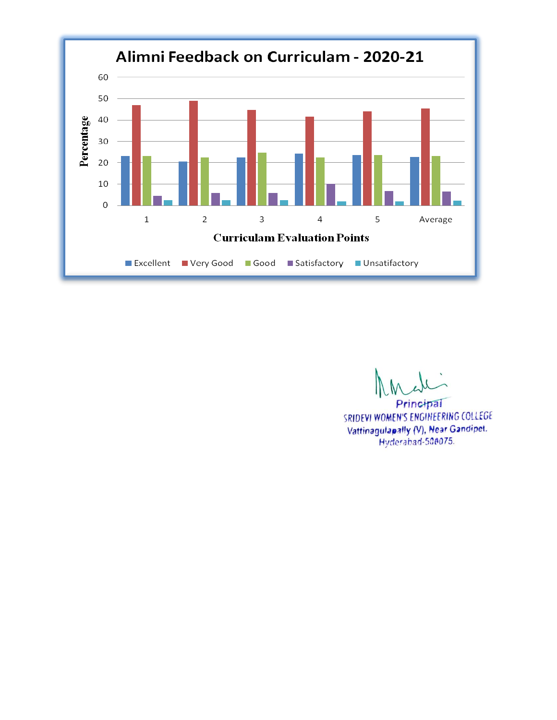

Principal SRIDEVI WOMEN'S ENGINEERING COLLEGE Vattinagulapally (V), Near Gandipet. Hyderabad-500075.